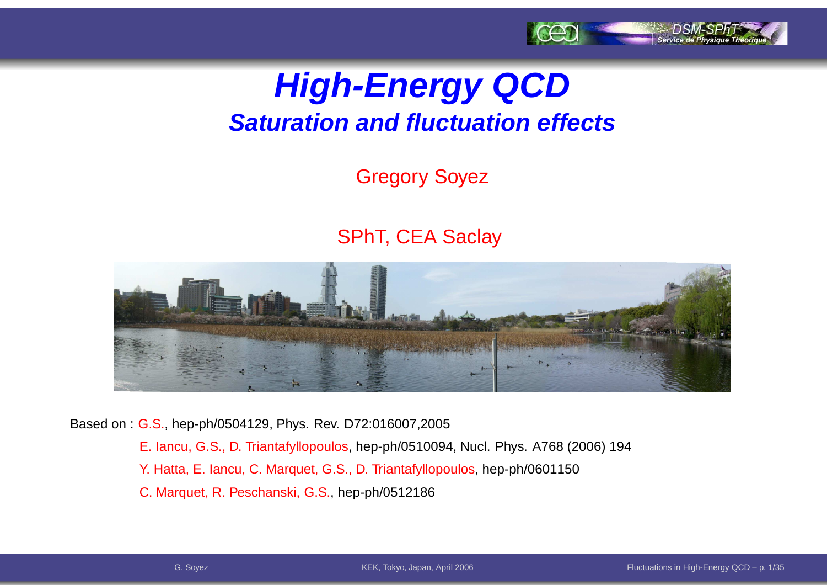

### **High-Energy QCDSaturation and fluctuation effects**

#### Gregory Soyez

#### SPhT, CEA Saclay



Based on : G.S., hep-ph/0504129, Phys. Rev. D72:016007,2005

- E. Iancu, G.S., D. Triantafyllopoulos, hep-ph/0510094, Nucl. Phys. A768 (2006) 194
- Y. Hatta, E. Iancu, C. Marquet, G.S., D. Triantafyllopoulos, hep-ph/0601150
- C. Marquet, R. Peschanski, G.S., hep-ph/0512186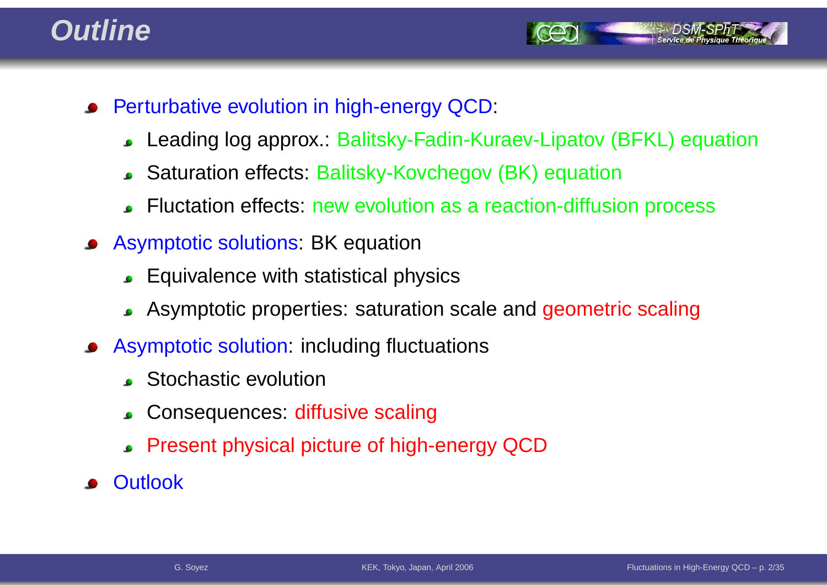#### **Outline**



- Perturbative evolution in high-energy QCD:
	- Leading log approx.: Balitsky-Fadin-Kuraev-Lipatov (BFKL) equation $\bullet$
	- Saturation effects: Balitsky-Kovchegov (BK) equation
	- Fluctation effects: new evolution as <sup>a</sup> reaction-diffusion process
- Asymptotic solutions: BK equation
	- Equivalence with statistical physics
	- Asymptotic properties: saturation scale and geometric scaling
- Asymptotic solution: including fluctuations
	- **Stochastic evolution**
	- Consequences: diffusive scaling $\bullet$
	- Present physical picture of high-energy QCD
- **Outlook**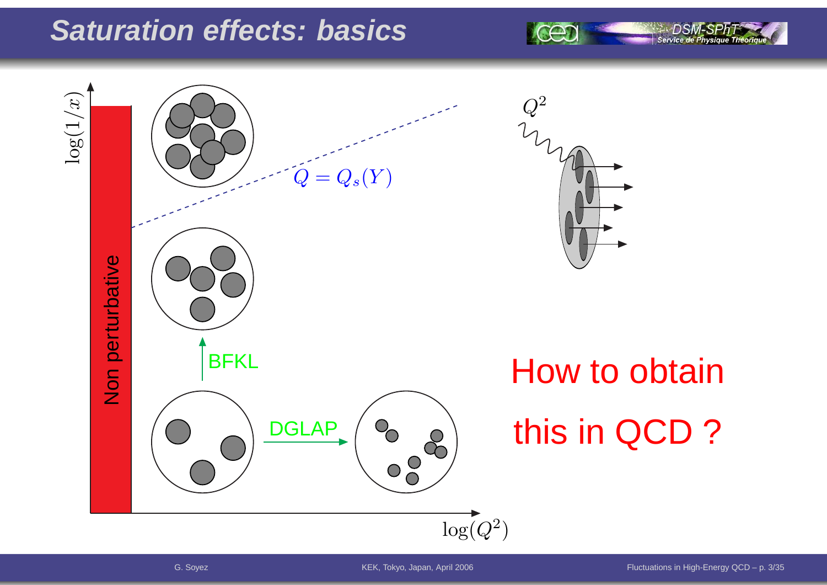#### **Saturation effects: basics**



G. Soyez

DSN

Service de Physique Théoriq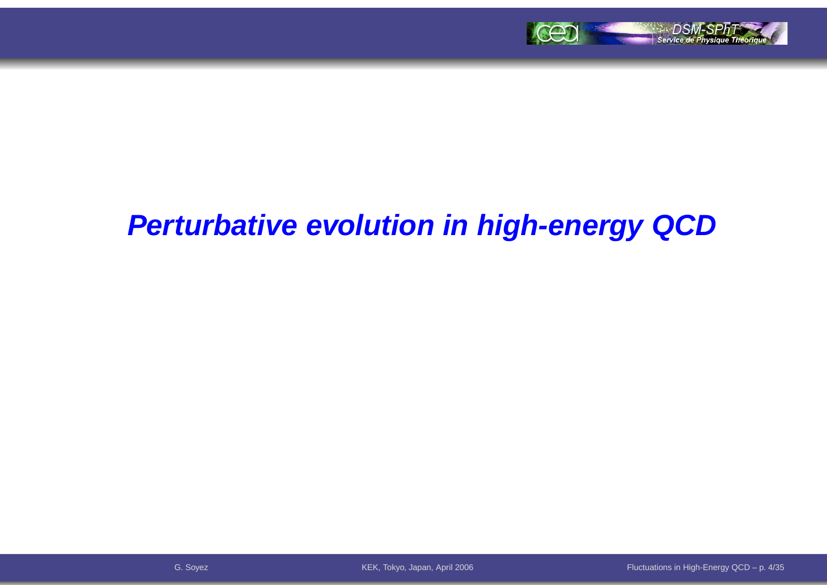

#### **Perturbative evolution in high-energy QCD**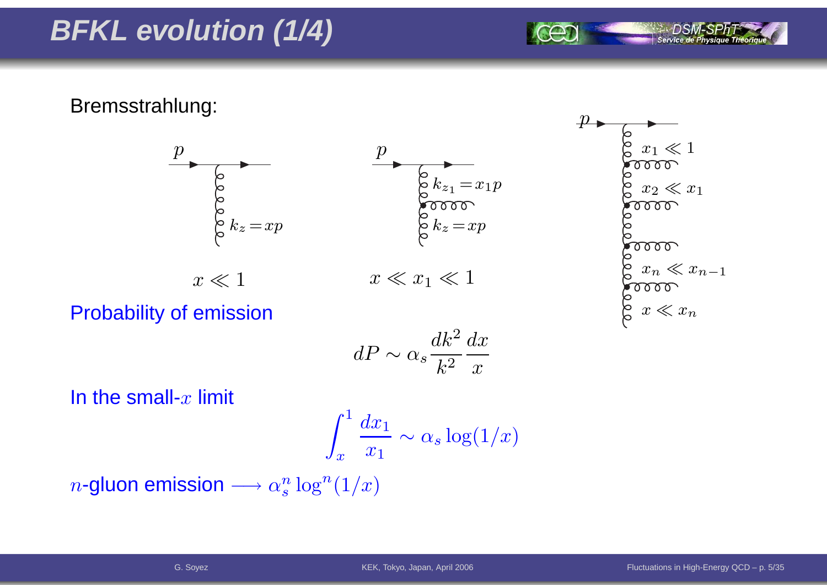### **BFKL evolution (1/4)**

Bremsstrahlung:





Service de Physique Théori

 $\,p\,$ 

Probability of emission

$$
dP \sim \alpha_s \frac{dk^2}{k^2} \frac{dx}{x}
$$

In the small- $x$  limit

$$
\int_x^1 \frac{dx_1}{x_1} \sim \alpha_s \log(1/x)
$$

 $n$ -gluon emission  $\longrightarrow \alpha_s^n$  $\frac{n}{s}\log^n(1/x)$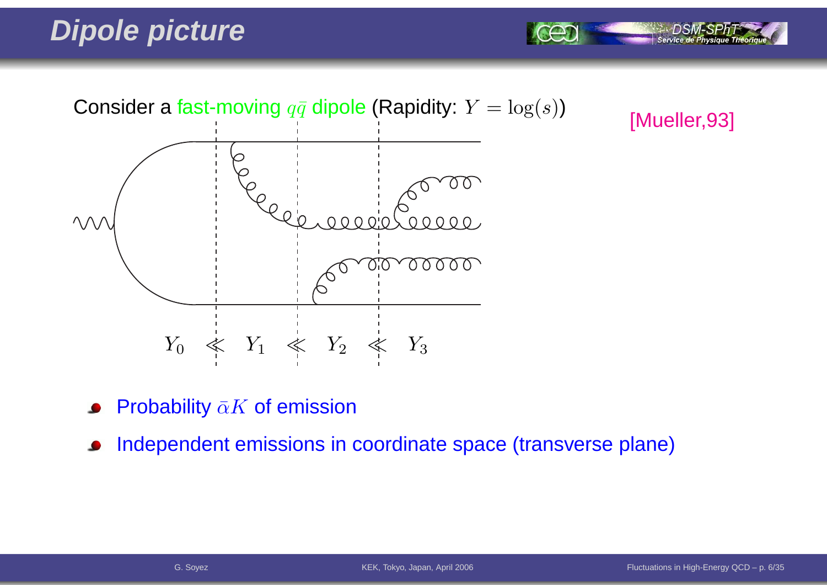### **Dipole picture**



[Mueller,93]

Service de Physiq

- Probability  $\bar{\alpha}K$  of emission
- Independent emissions in coordinate space (transverse plane) $\bullet$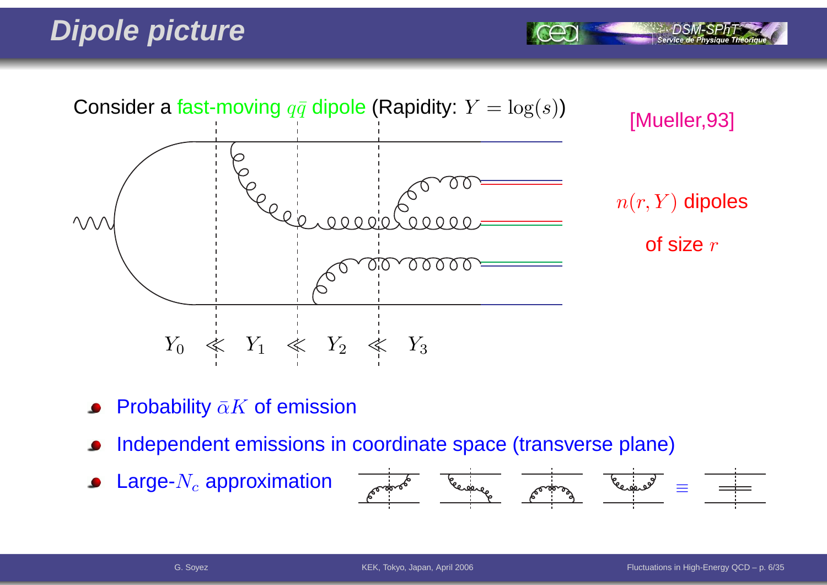### **Dipole picture**



- Probability  $\bar{\alpha}K$  of emission
- Independent emissions in coordinate space (transverse plane)
- Large- $N_c$  approximation  $\bullet$



Service de Physiq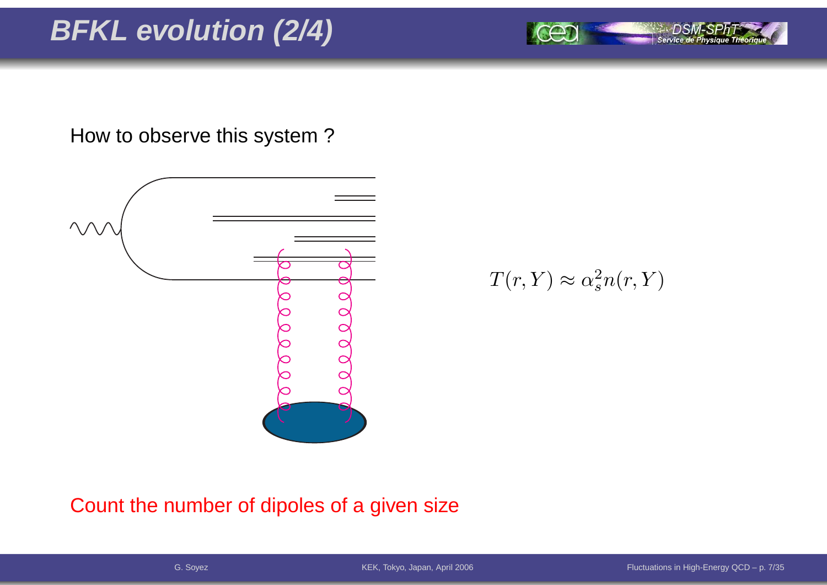### **BFKL evolution (2/4)**

How to observe this system ?



 $T(r,Y)\approx\alpha_s^2$  $\frac{2}{s}n(r,Y)$ 

Count the number of dipoles of <sup>a</sup> given size

Service de Physique Théoriq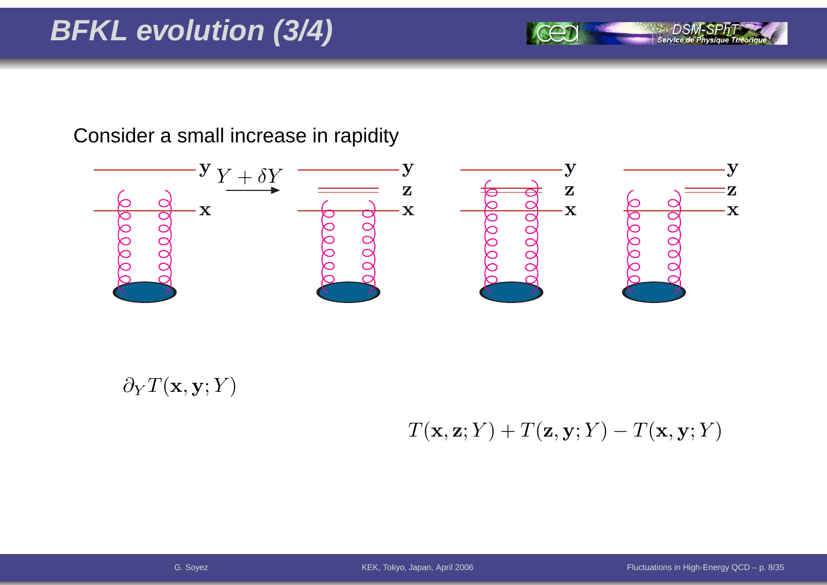### **BFKL evolution (3/4)**

Consider <sup>a</sup> small increase in rapidity



 $\partial_YT(\mathbf{x},\mathbf{y};Y)$ 

 $T(\mathbf{x}, \mathbf{z}; Y) + T(\mathbf{z}, \mathbf{y}; Y)$  $T({\bf x},{\bf y}; Y)$ 

Service de Physique Théoriq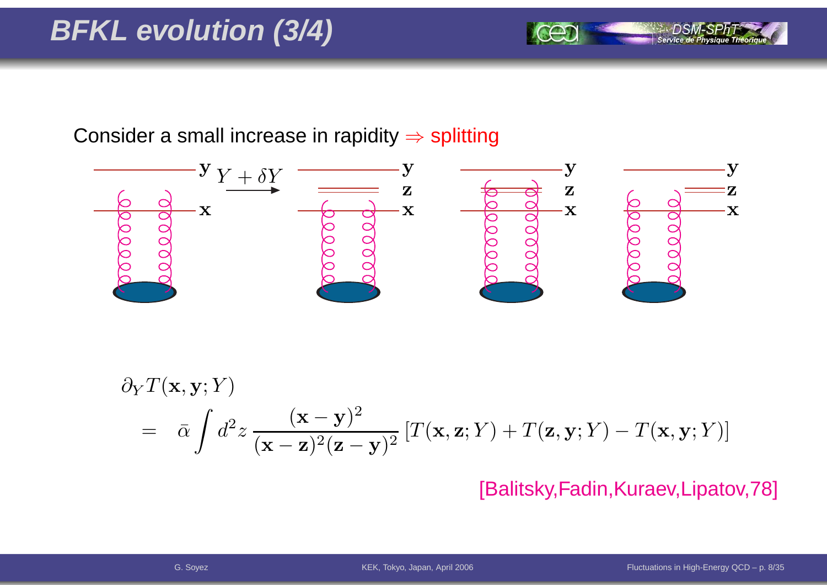Consider a small increase in rapidity  $\Rightarrow$  splitting



$$
\partial_Y T(\mathbf{x}, \mathbf{y}; Y) = \bar{\alpha} \int d^2 z \, \frac{(\mathbf{x} - \mathbf{y})^2}{(\mathbf{x} - \mathbf{z})^2 (\mathbf{z} - \mathbf{y})^2} \left[ T(\mathbf{x}, \mathbf{z}; Y) + T(\mathbf{z}, \mathbf{y}; Y) - T(\mathbf{x}, \mathbf{y}; Y) \right]
$$

[Balitsky,Fadin,Kuraev,Lipatov,78]

Service de Physique Théoriqu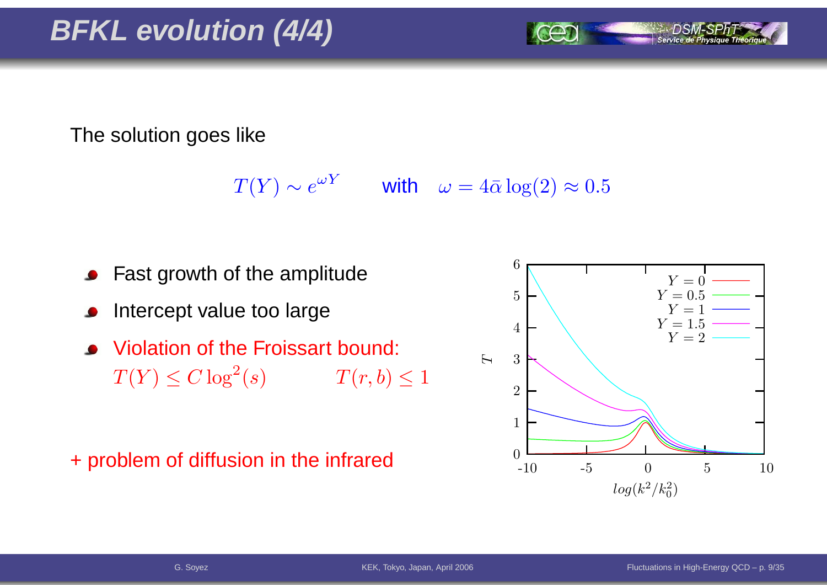#### The solution goes like

 $T(Y) \sim e^{\omega Y}$  with  $\omega = 4\bar{\alpha} \log(2) \approx 0.5$ 

- Fast growth of the amplitude
- Intercept value too large
- Violation of the Froissart bound:  $T(Y) \leq C \log^2$  $T(r, b) \leq 1$

+ problem of diffusion in the infrared

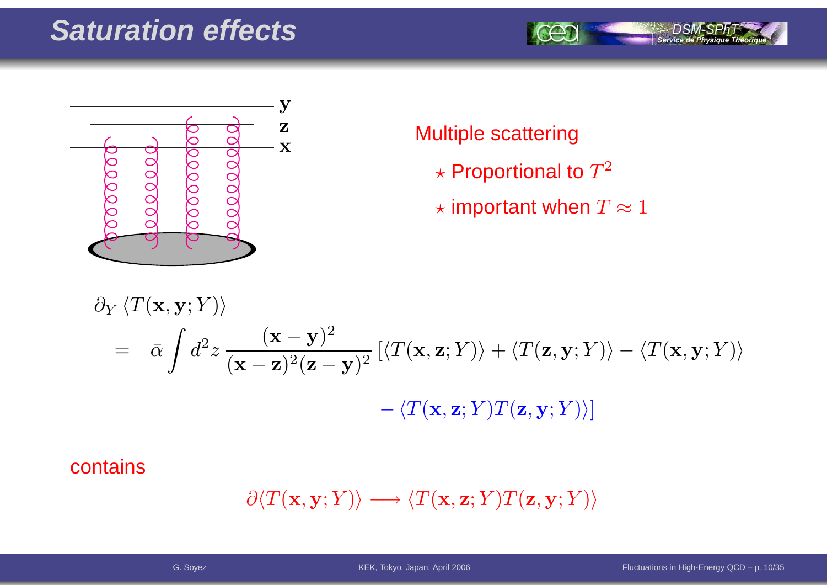#### **Saturation effects**





#### Multiple scattering

- $\star$  Proportional to  $T^2$
- $\star$  important when  $T\approx 1$

$$
\partial_Y \langle T(\mathbf{x}, \mathbf{y}; Y) \rangle
$$
  
=  $\bar{\alpha} \int d^2 z \frac{(\mathbf{x} - \mathbf{y})^2}{(\mathbf{x} - \mathbf{z})^2 (\mathbf{z} - \mathbf{y})^2} \left[ \langle T(\mathbf{x}, \mathbf{z}; Y) \rangle + \langle T(\mathbf{z}, \mathbf{y}; Y) \rangle - \langle T(\mathbf{x}, \mathbf{y}; Y) \rangle \right]$   
-  $\langle T(\mathbf{x}, \mathbf{z}; Y) T(\mathbf{z}, \mathbf{y}; Y) \rangle$ 

#### contains

$$
\partial \langle T(\mathbf{x}, \mathbf{y}; Y) \rangle \longrightarrow \langle T(\mathbf{x}, \mathbf{z}; Y) T(\mathbf{z}, \mathbf{y}; Y) \rangle
$$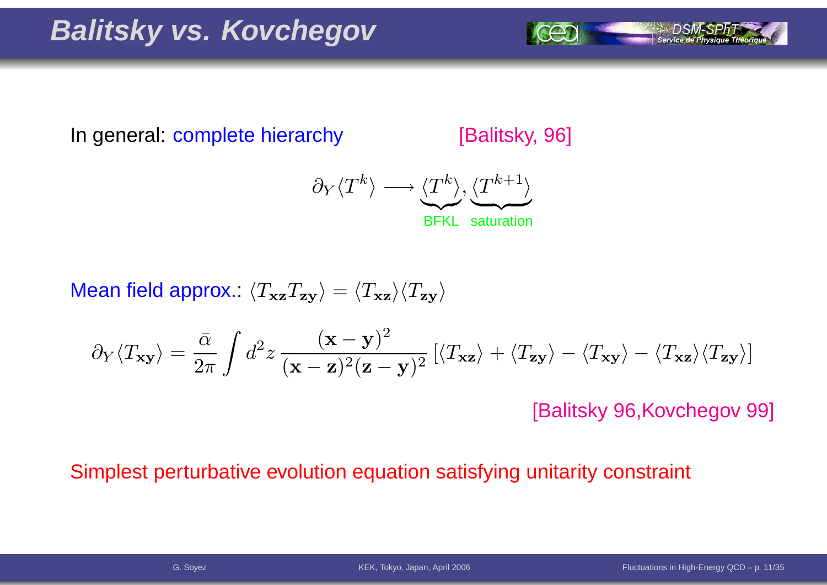### **Balitsky vs. Kovchegov**

In general: complete hierarchy[Balitsky, 96]

> $\partial$ Y $\langle$  $\, T \,$  $\langle T^k \rangle \longrightarrow \langle T \rangle$  $\boldsymbol{k}$  $\left\langle T^{\kappa}\right\rangle$  BFKL saturation $, \langle$  $\, T \,$  $\overbrace{\phantom{\vdots}}^{(T^{k+1})}$

Mean field approx.:  $\langle T_{\bf x z}T_{\bf z y}\rangle=\langle T_{\bf x z}\rangle\langle T_{\bf z y}\rangle$ 

$$
\partial_Y \langle T_{\mathbf{x} \mathbf{y}} \rangle = \frac{\bar{\alpha}}{2\pi} \int d^2 z \, \frac{(\mathbf{x} - \mathbf{y})^2}{(\mathbf{x} - \mathbf{z})^2 (\mathbf{z} - \mathbf{y})^2} \left[ \langle T_{\mathbf{x} \mathbf{z}} \rangle + \langle T_{\mathbf{z} \mathbf{y}} \rangle - \langle T_{\mathbf{x} \mathbf{z}} \rangle \langle T_{\mathbf{z} \mathbf{y}} \rangle \right]
$$

[Balitsky 96,Kovchegov 99]

#### Simplest perturbative evolution equation satisfying unitarity constraint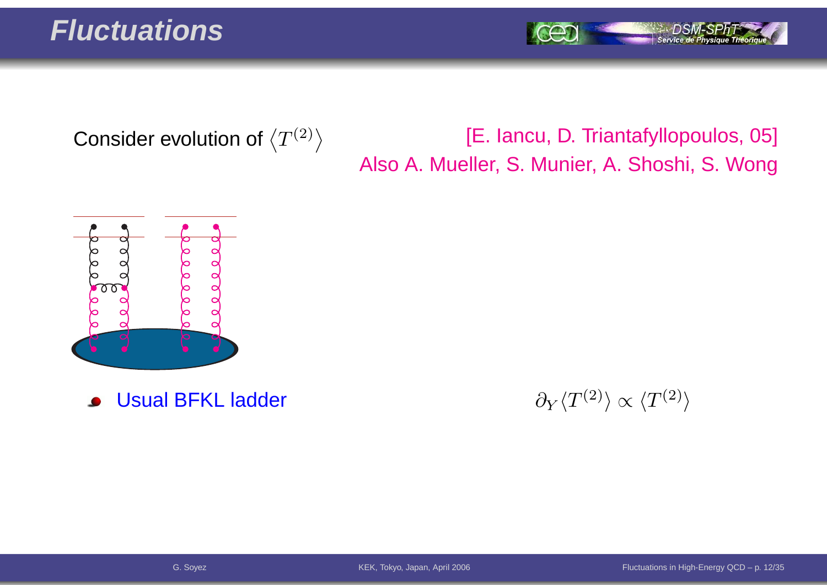Service de Physique Théoriq

Consider evolution of  $\left\langle T^{(2)}\right\rangle$ 

#### [E. Iancu, D. Triantafyllopoulos, 05] Also A. Mueller, S. Munier, A. Shoshi, S. Wong



Usual BFKL ladder $\bullet$ 

r and  $\partial_Y$  $\partial_Y \langle T^{(2)} \rangle \propto \langle T^{(2)} \rangle$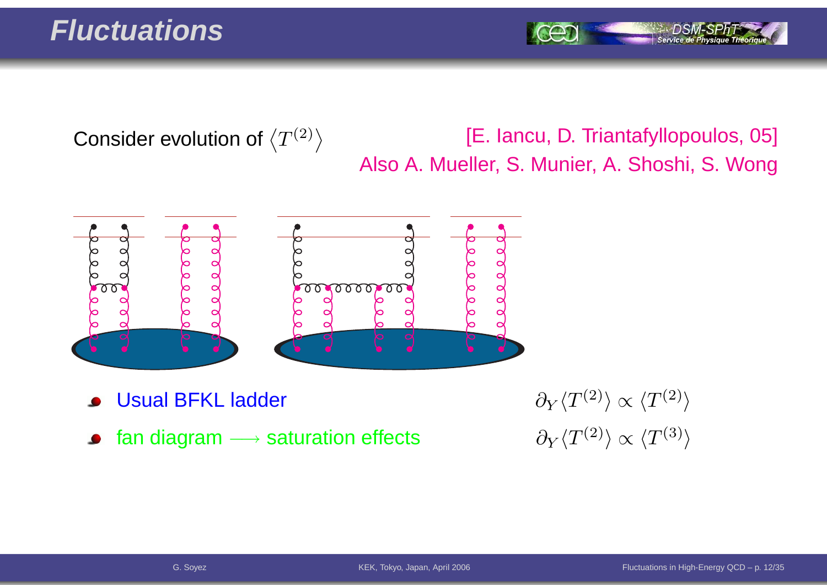#### **Fluctuations**

Service de Ph

Consider evolution of  $\left\langle T^{(2)}\right\rangle$ 

[E. Iancu, D. Triantafyllopoulos, 05] Also A. Mueller, S. Munier, A. Shoshi, S. Wong



- Usual BFKL ladder
- fan diagram  $\longrightarrow$  saturation effects  $\qquad \qquad \partial_Y \langle T^{(2)} \rangle \propto \langle T^{(3)} \rangle$  $\bullet$

r and  $\partial_Y$  $\partial_Y \langle T^{(2)} \rangle \propto \langle T^{(2)} \rangle$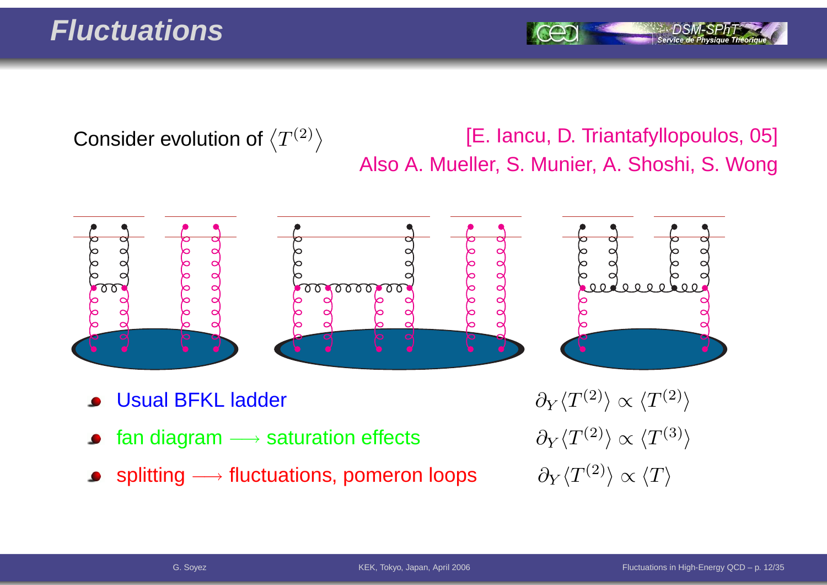#### **Fluctuations**

Consider evolution of  $\left\langle T^{(2)}\right\rangle$ 

#### [E. Iancu, D. Triantafyllopoulos, 05] Also A. Mueller, S. Munier, A. Shoshi, S. Wong



- Usual BFKL ladder
- fan diagram —→  $\bullet$
- splitting  $\longrightarrow$  $\rightarrow$  fluctuations, pomeron loops  $\qquad \partial_Y \langle T^{(2)} \rangle \propto \langle T \rangle$

r and  $\partial_Y$  $\partial_Y \langle T^{(2)} \rangle \propto \langle T^{(2)} \rangle$  $\partial_Y \langle T^{(2)} \rangle \propto \langle T^{(3)} \rangle$ <br> $\partial_Y \langle T^{(2)} \rangle \propto \langle T \rangle$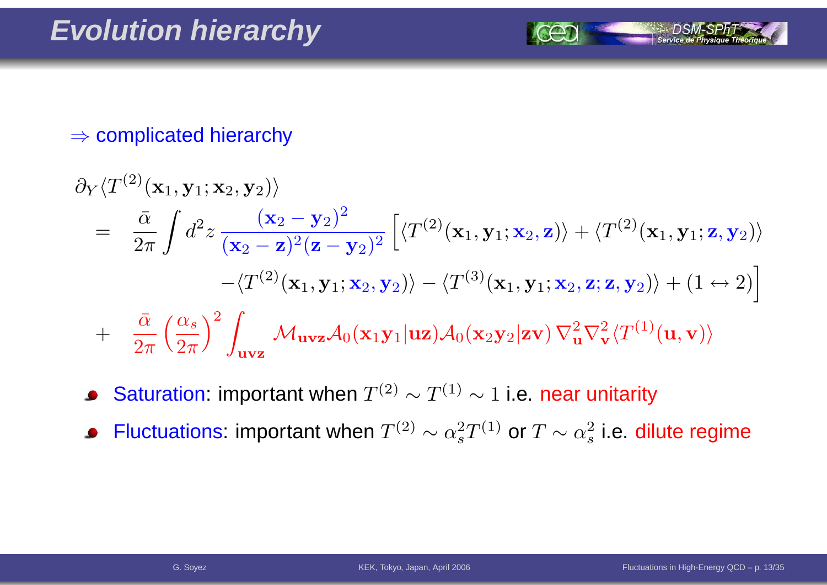# $\Rightarrow$  complicated hierarchy

$$
\partial_Y \langle T^{(2)}(\mathbf{x}_1, \mathbf{y}_1; \mathbf{x}_2, \mathbf{y}_2) \rangle
$$
\n
$$
= \frac{\bar{\alpha}}{2\pi} \int d^2 z \frac{(\mathbf{x}_2 - \mathbf{y}_2)^2}{(\mathbf{x}_2 - \mathbf{z})^2 (\mathbf{z} - \mathbf{y}_2)^2} \left[ \langle T^{(2)}(\mathbf{x}_1, \mathbf{y}_1; \mathbf{x}_2, \mathbf{z}) \rangle + \langle T^{(2)}(\mathbf{x}_1, \mathbf{y}_1; \mathbf{z}, \mathbf{y}_2) \rangle \right.
$$
\n
$$
- \langle T^{(2)}(\mathbf{x}_1, \mathbf{y}_1; \mathbf{x}_2, \mathbf{y}_2) \rangle - \langle T^{(3)}(\mathbf{x}_1, \mathbf{y}_1; \mathbf{x}_2, \mathbf{z}; \mathbf{z}, \mathbf{y}_2) \rangle + (1 \leftrightarrow 2) \right]
$$
\n
$$
+ \frac{\bar{\alpha}}{2\pi} \left( \frac{\alpha_s}{2\pi} \right)^2 \int_{\mathbf{u} \times \mathbf{z}} \mathcal{M}_{\mathbf{u} \times \mathbf{z}} \mathcal{A}_0(\mathbf{x}_1 \mathbf{y}_1 | \mathbf{u} \mathbf{z}) \mathcal{A}_0(\mathbf{x}_2 \mathbf{y}_2 | \mathbf{z} \mathbf{v}) \nabla_{\mathbf{u}}^2 \nabla_{\mathbf{v}}^2 \langle T^{(1)}(\mathbf{u}, \mathbf{v}) \rangle
$$

- Saturation: important when  $T^{(2)}\sim T^{(1)}\sim 1$  i.e. near unitarity  $\bullet$
- Fluctuations: important when  $T^{(2)}\sim \alpha_s^{2\gamma}$  $_{s}^{2}T^{(1)}$  or  $T\sim\alpha_{s}^{2}$  $\frac{2}{s}$  i.e. dilute regime  $\bullet$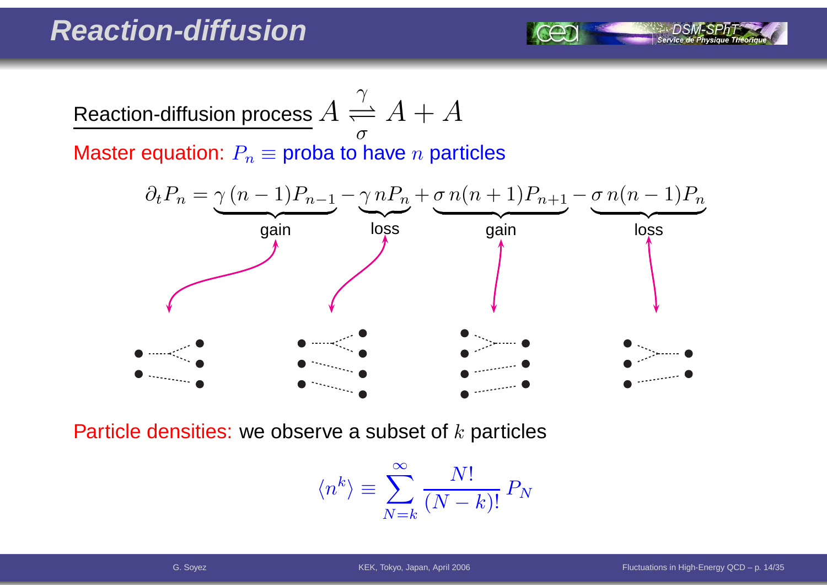

Master equation:  $P_n\equiv$  proba to have  $n$  particles



Particle densities: we observe a subset of  $k$  particles

$$
\langle n^k \rangle \equiv \sum_{N=k}^{\infty} \frac{N!}{(N-k)!} P_N
$$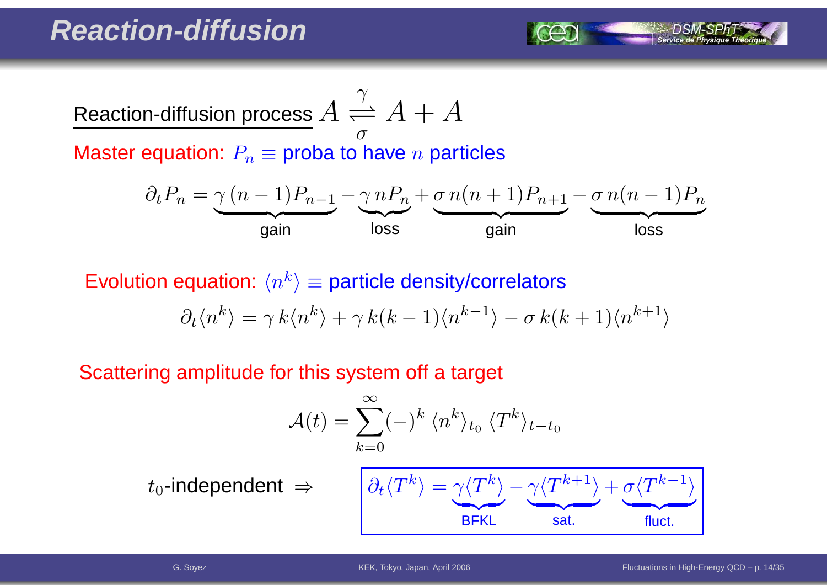Reaction-diffusion process  $A$  $A \frac{\gamma}{\sigma}$  $A + A$ 

Master equation:  $P_n\equiv$  proba to have  $n$  particles

$$
\partial_t P_n = \underbrace{\gamma (n-1) P_{n-1}}_{\text{gain}} - \underbrace{\gamma n P_n}_{\text{loss}} + \underbrace{\sigma n (n+1) P_{n+1}}_{\text{gain}} - \underbrace{\sigma n (n-1) P_n}_{\text{loss}}
$$

Evolution equation:  $\langle n^k \rangle$   $\equiv$  particle density/correlators  $\partial_t \langle n^k \rangle =$  $= \gamma k\langle n^{k} \rangle + \gamma k(k-1)\langle n^{k-1} \rangle - \sigma k(k+1)\langle n^{k+1} \rangle$ 

Scattering amplitude for this system off <sup>a</sup> target

$$
\mathcal{A}(t) = \sum_{k=0}^{\infty} (-)^k \langle n^k \rangle_{t_0} \langle T^k \rangle_{t-t_0}
$$

 $t_0$ -independent  $\;\Rightarrow$ 

$$
\Rightarrow \qquad \boxed{\partial_t \langle T^k \rangle = \underbrace{\gamma \langle T^k \rangle}_{\text{BFKL}} - \underbrace{\gamma \langle T^{k+1} \rangle}_{\text{sat.}} + \underbrace{\sigma \langle T^{k-1} \rangle}_{\text{fluct.}}}
$$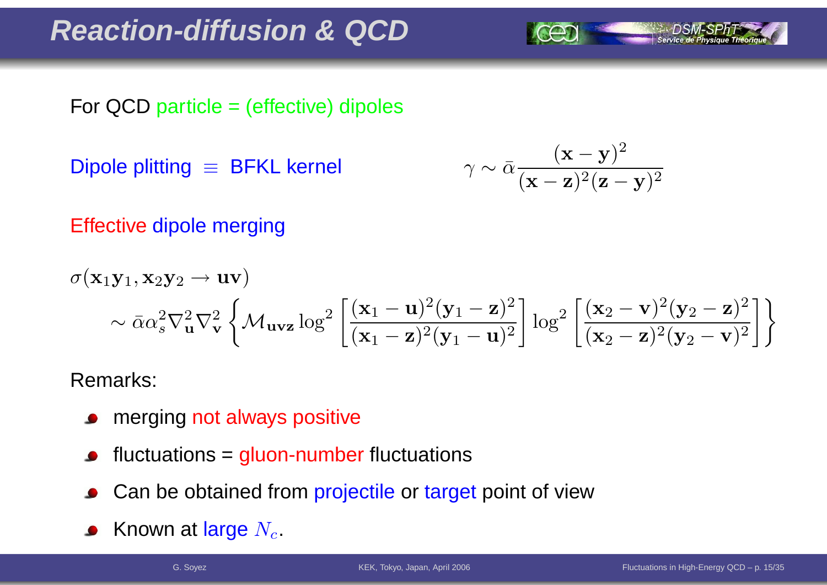#### **Reaction-diffusion & QCD**

For QCD particle <sup>=</sup> (effective) dipoles

Dipole plitting ≡ BFKL kernel

$$
\gamma \sim \bar{\alpha} \frac{(\mathbf{x} - \mathbf{y})^2}{(\mathbf{x} - \mathbf{z})^2 (\mathbf{z} - \mathbf{y})^2}
$$

Effective dipole merging

$$
\sigma(\mathbf{x}_1\mathbf{y}_1, \mathbf{x}_2\mathbf{y}_2 \to \mathbf{u}\mathbf{v})
$$
  
 
$$
\sim \bar{\alpha}\alpha_s^2 \nabla_{\mathbf{u}}^2 \nabla_{\mathbf{v}}^2 \left\{ \mathcal{M}_{\mathbf{u}\mathbf{v}\mathbf{z}} \log^2 \left[ \frac{(\mathbf{x}_1 - \mathbf{u})^2 (\mathbf{y}_1 - \mathbf{z})^2}{(\mathbf{x}_1 - \mathbf{z})^2 (\mathbf{y}_1 - \mathbf{u})^2} \right] \log^2 \left[ \frac{(\mathbf{x}_2 - \mathbf{v})^2 (\mathbf{y}_2 - \mathbf{z})^2}{(\mathbf{x}_2 - \mathbf{z})^2 (\mathbf{y}_2 - \mathbf{v})^2} \right] \right\}
$$

Remarks:

- merging not always positive  $\bullet$
- fluctuations <sup>=</sup> gluon-number fluctuations
- Can be obtained from projectile or target point of view
- Known at large  $N_c$ .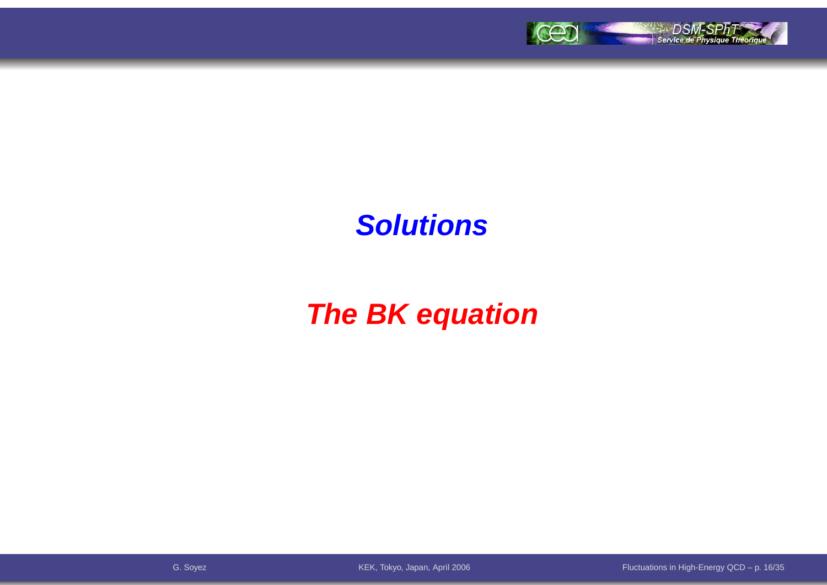

### **Solutions**

### **The BK equation**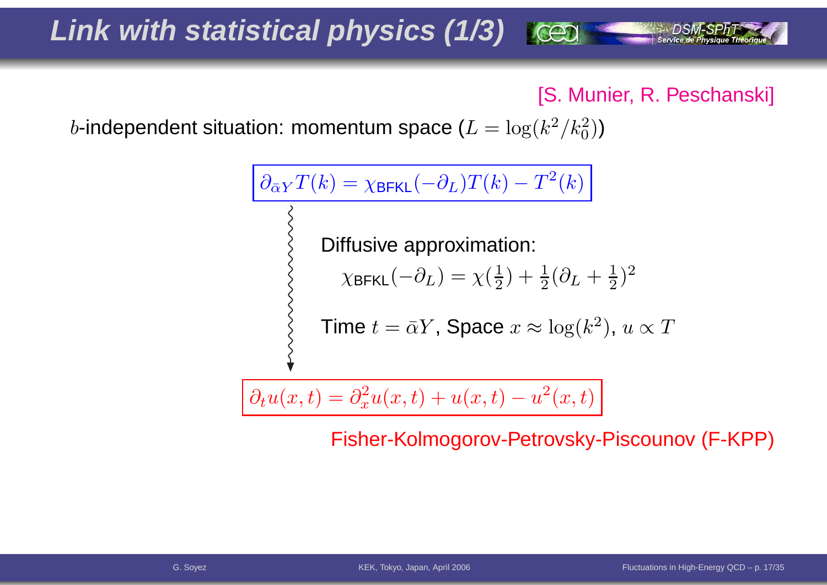### **Link with statistical physics (1/3)**

[S. Munier, R. Peschanski]

 $b$ -independent situation: momentum space ( $L=\log(k^2/k_0^2)$  $_0^2))$ 

$$
\begin{aligned}\n\partial_{\bar{\alpha}Y}T(k) &= \chi_{\text{BFKL}}(-\partial_L)T(k) - T^2(k) \\
&\geq 0 \\
\text{Diffusive approximation:} \\
\chi_{\text{BFKL}}(-\partial_L) &= \chi(\frac{1}{2}) + \frac{1}{2}(\partial_L + \frac{1}{2})^2 \\
&\geq 0 \\
\text{Time } t &= \bar{\alpha}Y, \text{ Space } x \approx \log(k^2), \ u \propto T\n\end{aligned}
$$

$$
\partial_t u(x,t) = \partial_x^2 u(x,t) + u(x,t) - u^2(x,t)
$$

Fisher-Kolmogorov-Petrovsky-Piscounov (F-KPP)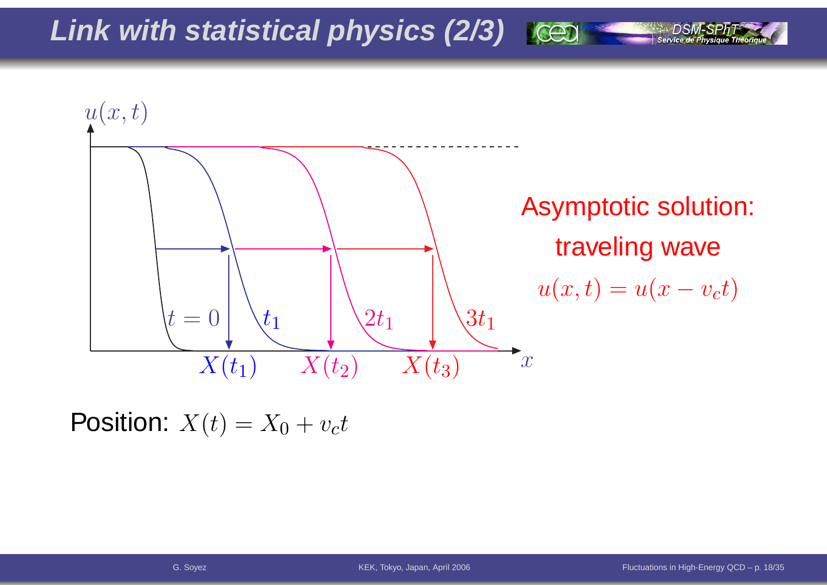**Link with statistical physics (2/3)**



Position:  $X(t) = X_0 + v_ct$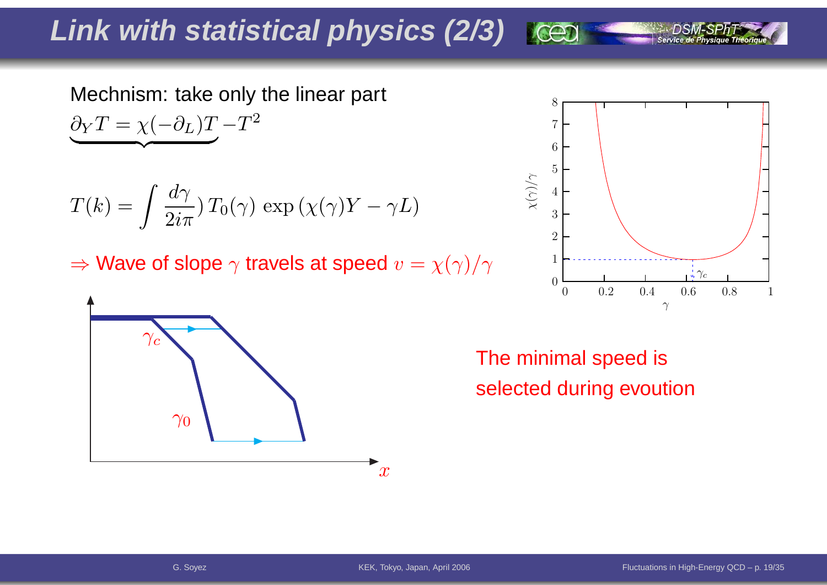### **Link with statistical physics (2/3)**

Mechnism: take only the linear part  $\partial_YT=\chi($  $-\partial_L)T-T^2$ | $\overline{\phantom{a}}$ }

$$
T(k) = \int \frac{d\gamma}{2i\pi} T_0(\gamma) \exp(\chi(\gamma)Y - \gamma L)
$$

 $\Rightarrow$  Wave of slope  $\gamma$  travels at speed  $v=\chi(\gamma)/\gamma$ 





The minimal speed isselected during evoution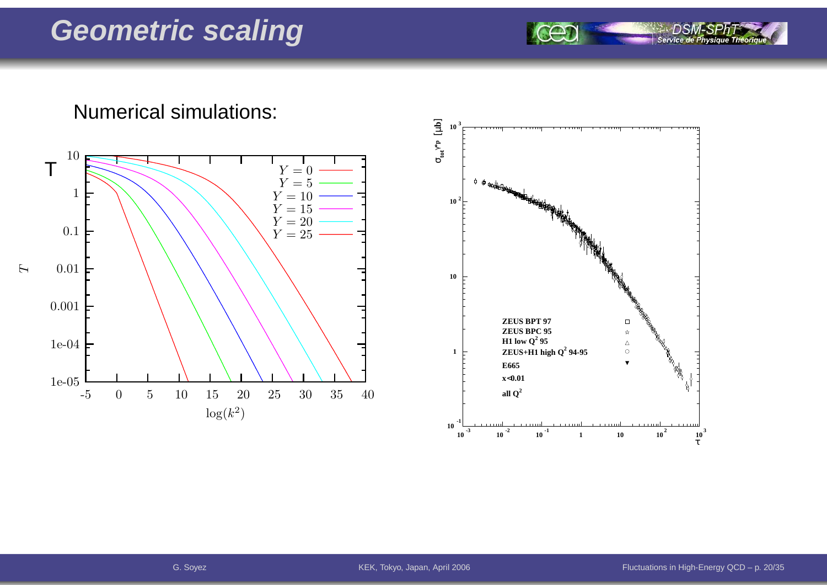#### **Geometric scaling**

Numerical simulations:

Service de Physique Théoriq 5 **10 3**



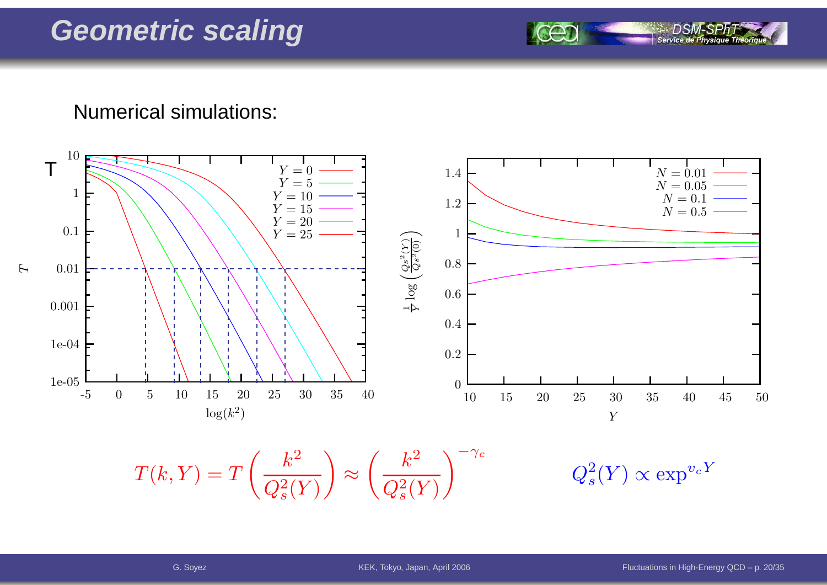#### **Geometric scaling**

Numerical simulations:



Service de Ph

G. Soyez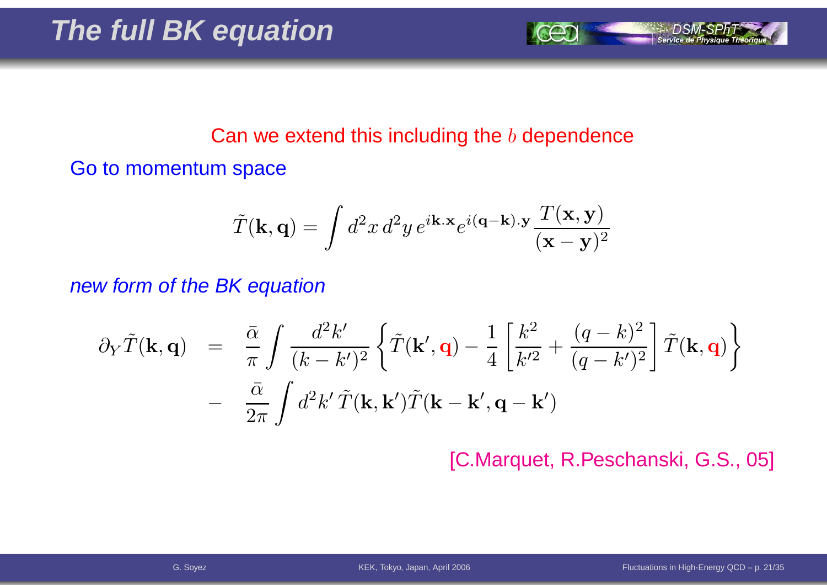

#### Can we extend this including the  $b$  dependence

Go to momentum space

$$
\tilde{T}(\mathbf{k}, \mathbf{q}) = \int d^2x \, d^2y \, e^{i\mathbf{k} \cdot \mathbf{x}} e^{i(\mathbf{q} - \mathbf{k}) \cdot \mathbf{y}} \frac{T(\mathbf{x}, \mathbf{y})}{(\mathbf{x} - \mathbf{y})^2}
$$

new form of the BK equation

$$
\partial_Y \tilde{T}(\mathbf{k}, \mathbf{q}) = \frac{\bar{\alpha}}{\pi} \int \frac{d^2 k'}{(k - k')^2} \left\{ \tilde{T}(\mathbf{k}', \mathbf{q}) - \frac{1}{4} \left[ \frac{k^2}{k'^2} + \frac{(q - k)^2}{(q - k')^2} \right] \tilde{T}(\mathbf{k}, \mathbf{q}) \right\} - \frac{\bar{\alpha}}{2\pi} \int d^2 k' \tilde{T}(\mathbf{k}, \mathbf{k}') \tilde{T}(\mathbf{k} - \mathbf{k}', \mathbf{q} - \mathbf{k}')
$$

[C.Marquet, R.Peschanski, G.S., 05]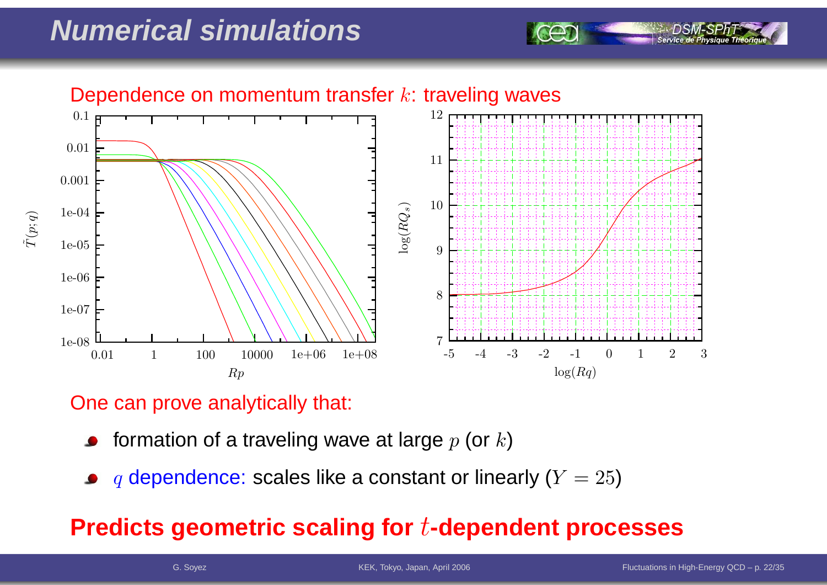### **Numerical simulations**



#### One can prove analytically that:

- formation of a traveling wave at large  $p$  (or  $k$ )
- $q$  dependence: scales like a constant or linearly ( $Y=25)$

#### **Predicts geometric scaling for**t**-dependent processes**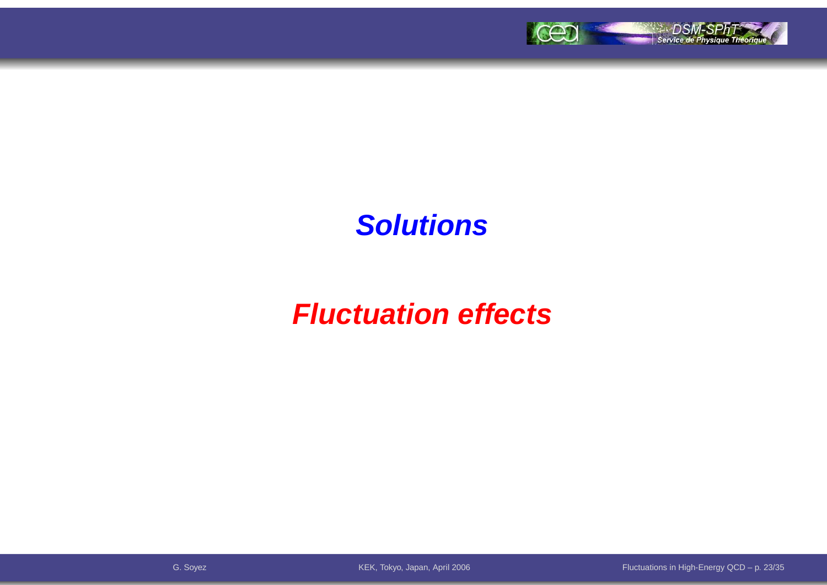

#### **Solutions**

### **Fluctuation effects**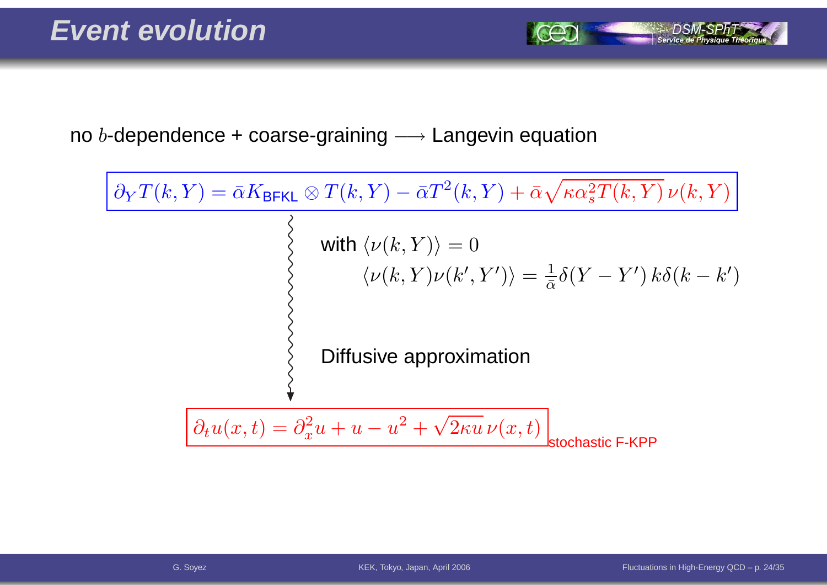Service de Ph

no  $b$ -dependence + coarse-graining  $\longrightarrow$  Langevin equation

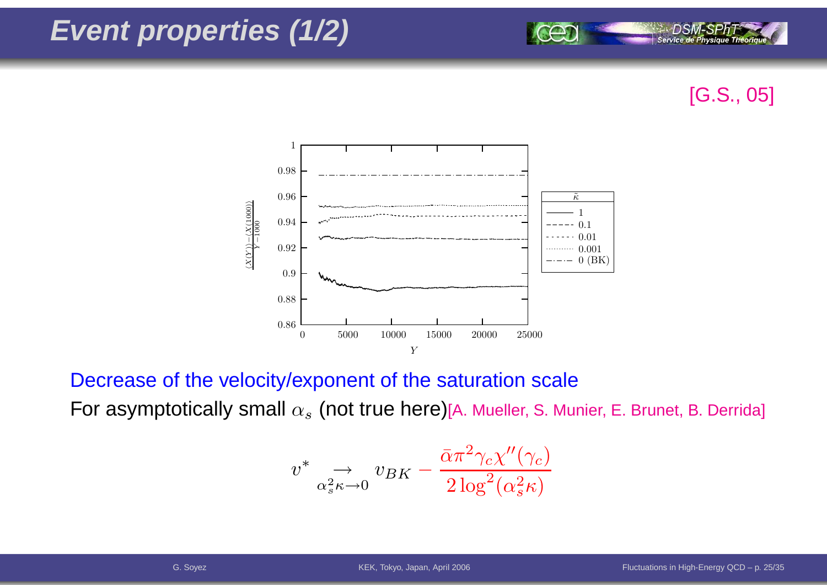### **Event properties (1/2)**



Service de Physique Théoria



Decrease of the velocity/exponent of the saturation scale

For asymptotically small  $\alpha_s$  (not true here)[A. Mueller, S. Munier, E. Brunet, B. Derrida]

$$
v^* \underset{\alpha_s^2 \kappa \to 0}{\to} v_{BK} - \frac{\bar{\alpha} \pi^2 \gamma_c \chi''(\gamma_c)}{2 \log^2(\alpha_s^2 \kappa)}
$$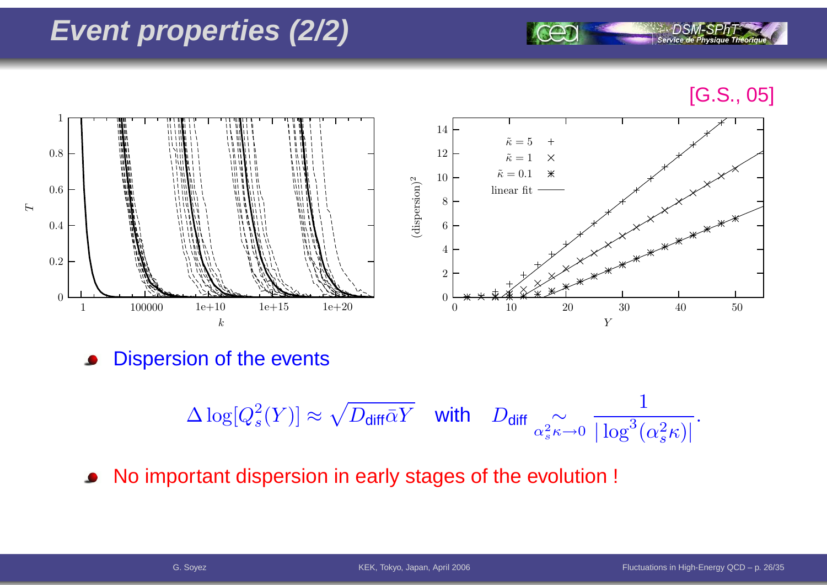### **Event properties (2/2)**

#### [G.S., 05]

Service de Ph



Dispersion of the events

$$
\Delta \log[Q_s^2(Y)] \approx \sqrt{D_{\text{diff}}\bar{\alpha}Y} \quad \text{with} \quad D_{\text{diff}} \underset{\alpha_s^2 \kappa \to 0}{\sim} \frac{1}{|\log^3(\alpha_s^2 \kappa)|}.
$$

No important dispersion in early stages of the evolution !  $\bullet$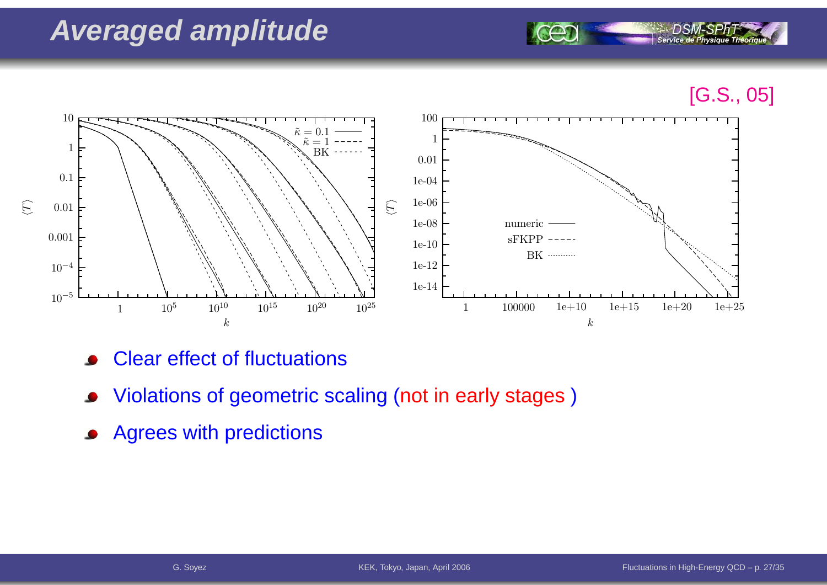### **Averaged amplitude**

[G.S., 05]

Service de Physique Théoriqu



- Clear effect of fluctuations
- Violations of geometric scaling (not in early stages)
- Agrees with predictions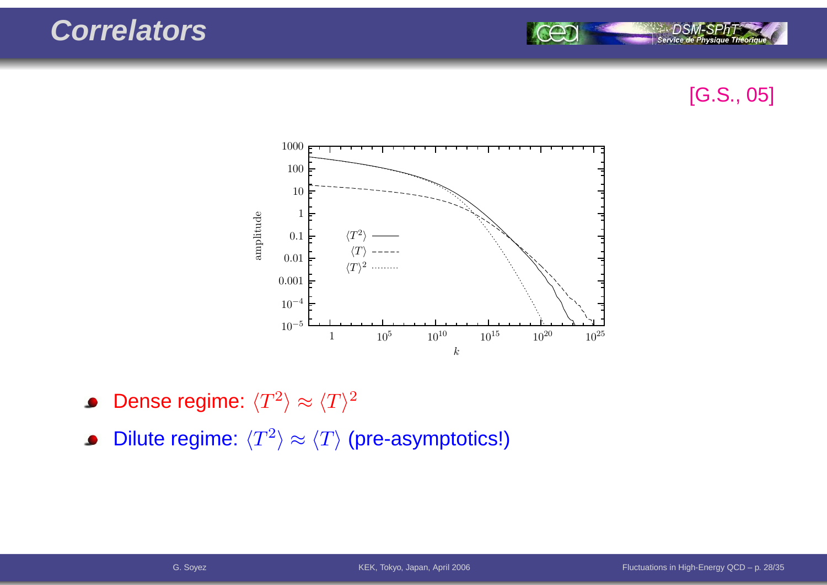

#### [G.S., 05]



- Dense regime:  $\langle T^2 \rangle \approx \langle T \rangle^2$  $\bullet$
- Dilute regime:  $\langle T^2 \rangle \approx \langle T \rangle$  (pre-asymptotics!)  $\bullet$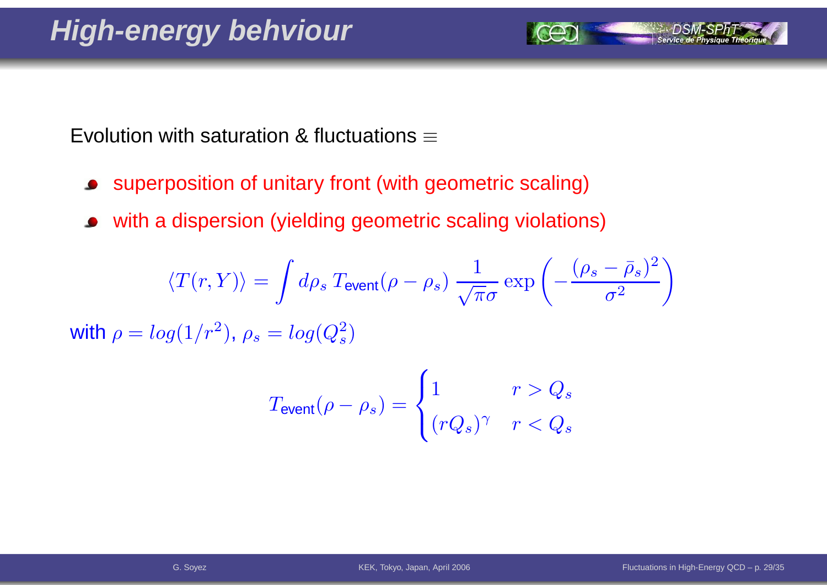Evolution with saturation & fluctuations  $\equiv$ 

- superposition of unitary front (with geometric scaling) $\bullet$
- with <sup>a</sup> dispersion (yielding geometric scaling violations) $\bullet$

$$
\langle T(r, Y) \rangle = \int d\rho_s \, T_{\text{event}}(\rho - \rho_s) \, \frac{1}{\sqrt{\pi} \sigma} \exp\left(-\frac{(\rho_s - \bar{\rho}_s)^2}{\sigma^2}\right)
$$

with  $\rho = log(1/r^2)$ <sup>2</sup>),  $\rho_s = log(Q_s^2)$  $\binom{2}{s}$ 

$$
T_{\text{event}}(\rho - \rho_s) = \begin{cases} 1 & r > Q_s \\ (rQ_s)^\gamma & r < Q_s \end{cases}
$$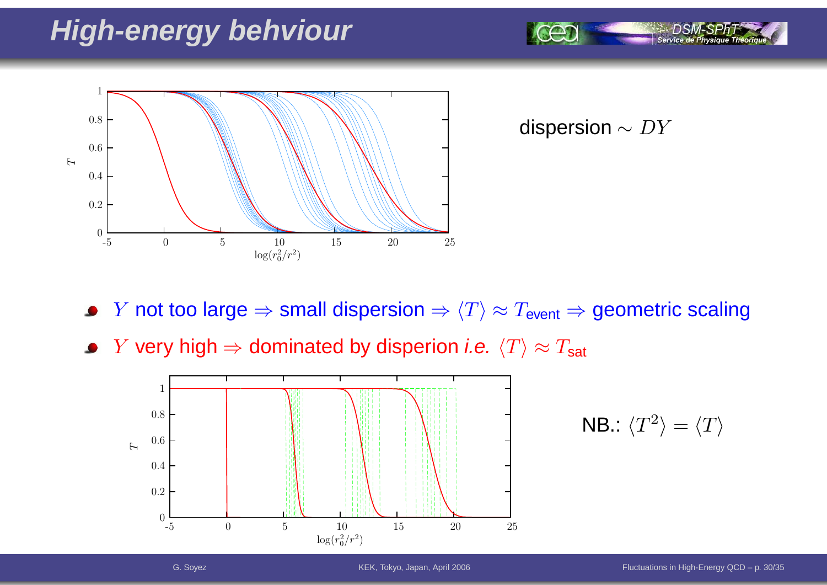### **High-energy behviour**



dispersion  $\sim DY$ 

- $Y$  not too large  $\Rightarrow$  small dispersion  $\Rightarrow$   $\langle T\rangle\approx T_{\sf event}\Rightarrow$  geometric scaling
- $Y$  very high  $\Rightarrow$  dominated by disperion *i.e.*  $\langle T \rangle \approx T_{\sf sat}$



$$
\mathsf{NB.} \colon \langle T^2 \rangle = \langle T \rangle
$$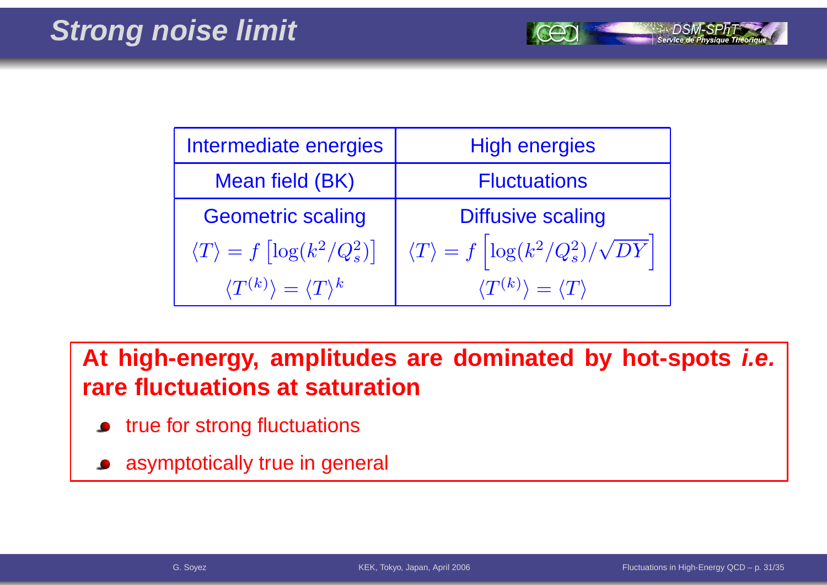| Intermediate energies                                  | <b>High energies</b>                                         |
|--------------------------------------------------------|--------------------------------------------------------------|
| Mean field (BK)                                        | <b>Fluctuations</b>                                          |
| <b>Geometric scaling</b>                               | <b>Diffusive scaling</b>                                     |
| $\langle T \rangle = f \left[ \log(k^2/Q_s^2) \right]$ | $\langle T\rangle = f\left[\log(k^2/Q_s^2)/\sqrt{DY}\right]$ |
| $\langle T^{(k)} \rangle = \langle T \rangle^k$        | $\langle T^{(k)} \rangle = \langle T \rangle$                |

**At high-energy, amplitudes are dominated by hot-spots i.e. rare fluctuations at saturation**

- **•** true for strong fluctuations
- asymptotically true in general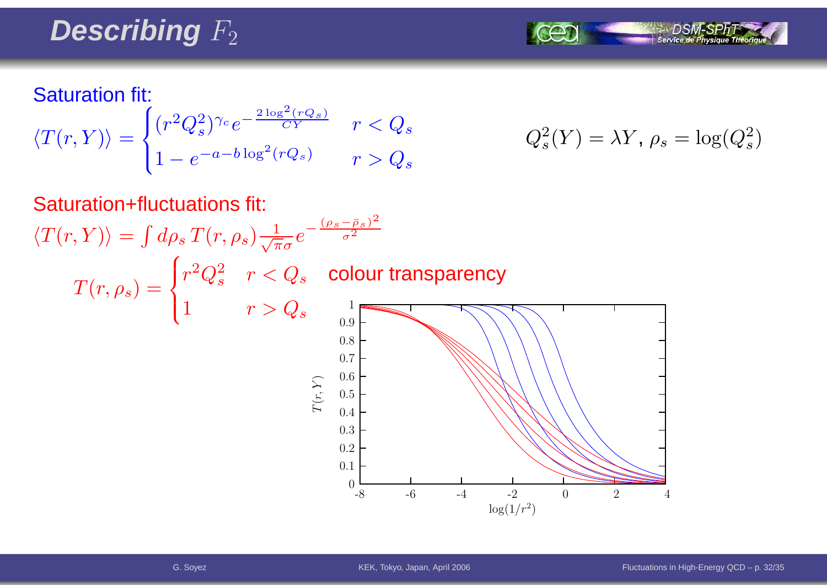# Describing  $F_2$



#### Saturation fit:

 $T(r,\rho_s)=$ 

$$
\langle T(r,Y) \rangle = \begin{cases} (r^2 Q_s^2)^{\gamma_c} e^{-\frac{2 \log^2 (rQ_s)}{CY}} & r < Q_s \\ 1 - e^{-a - b \log^2 (rQ_s)} & r > Q_s \end{cases} \qquad Q_s^2(Y) = \lambda Y, \, \rho_s = \log(Q_s^2)
$$

$$
Q_s^2(Y) = \lambda Y, \, \rho_s = \log(Q_s^2)
$$

## Saturation+fluctuations fit:  $\langle T(r,Y) \rangle = \int d\rho_s \, T(r,\rho_s) \frac{1}{\sqrt{\pi}\sigma} e^{-\frac{(\rho_s-\bar{\rho}_s)^2}{\sigma^2}}$

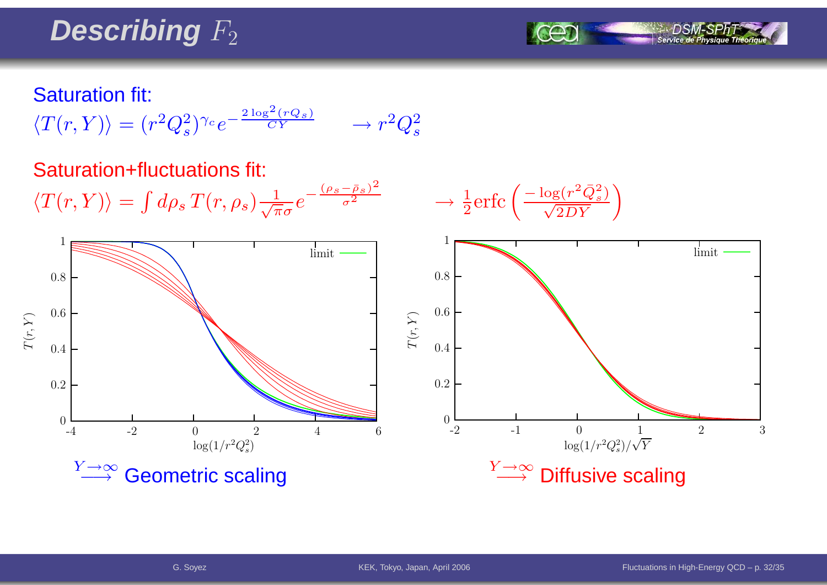# Describing  $F_2$



#### Saturation fit:

$$
\langle T(r,Y) \rangle = (r^2 Q_s^2)^{\gamma_c} e^{-\frac{2 \log^2 (r Q_s)}{CY}} \longrightarrow r^2 Q_s^2
$$

#### Saturation+fluctuations fit:

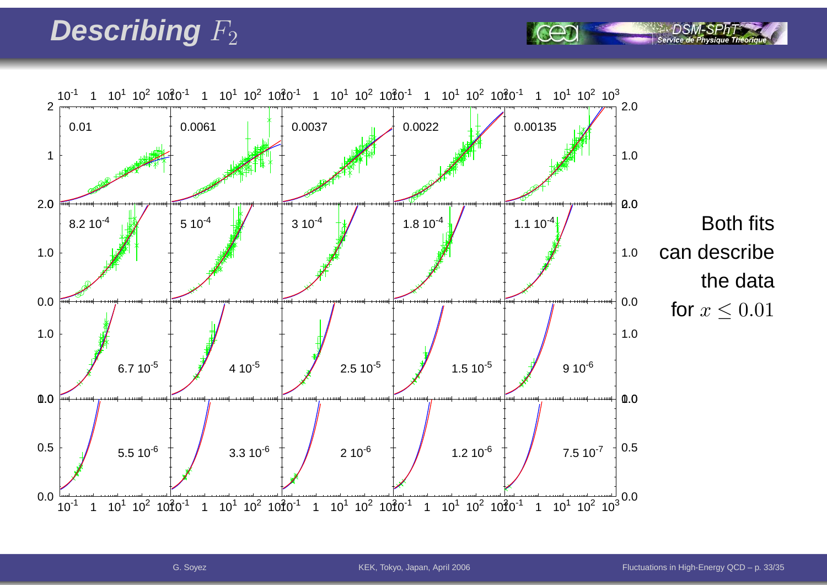# Describing  $F_2$

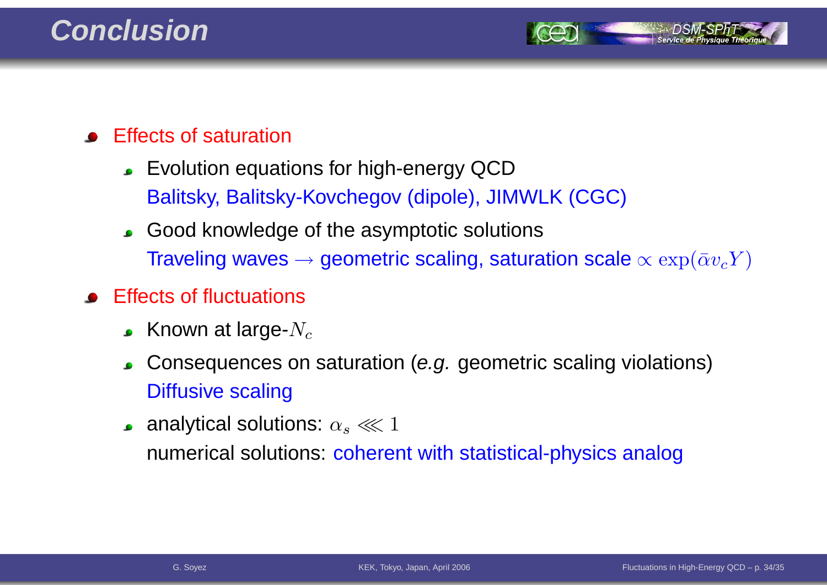

- Effects of saturation
	- Evolution equations for high-energy QCDBalitsky, Balitsky-Kovchegov (dipole), JIMWLK (CGC)
	- Good knowledge of the asymptotic solutionsTraveling waves  $\rightarrow$  geometric scaling, saturation scale  $\propto \exp(\bar{\alpha}v_cY)$
- Effects of fluctuations
	- Known at large- $N_c$
	- Consequences on saturation (e.g. geometric scaling violations) $\bullet$ Diffusive scaling
	- analytical solutions:  $\alpha_s \lll 1$ numerical solutions: coherer numerical solutions: coherent with statistical-physics analog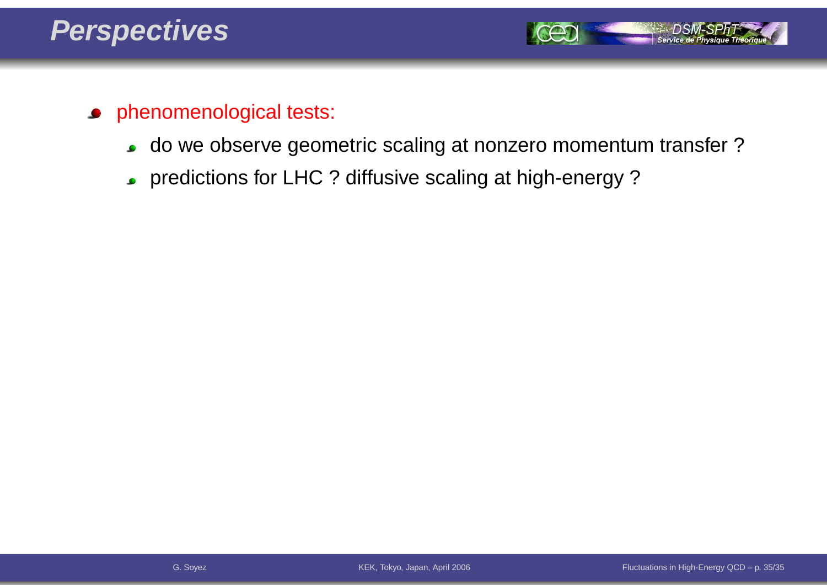

- phenomenological tests:  $\bullet$ 
	- do we observe geometric scaling at nonzero momentum transfer ? $\bullet$
	- predictions for LHC ? diffusive scaling at high-energy ?